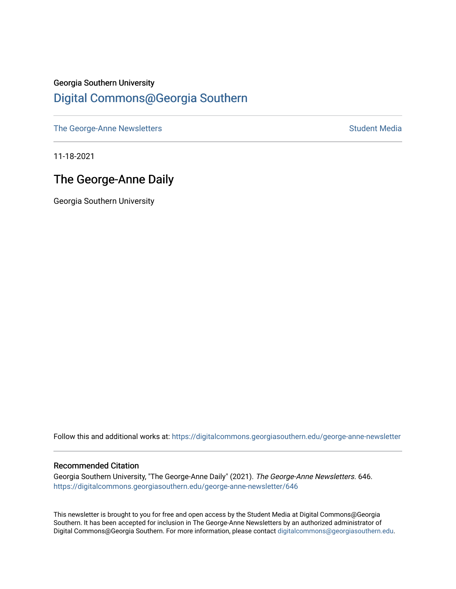## Georgia Southern University [Digital Commons@Georgia Southern](https://digitalcommons.georgiasouthern.edu/)

[The George-Anne Newsletters](https://digitalcommons.georgiasouthern.edu/george-anne-newsletter) **Student Media** Student Media

11-18-2021

## The George-Anne Daily

Georgia Southern University

Follow this and additional works at: [https://digitalcommons.georgiasouthern.edu/george-anne-newsletter](https://digitalcommons.georgiasouthern.edu/george-anne-newsletter?utm_source=digitalcommons.georgiasouthern.edu%2Fgeorge-anne-newsletter%2F646&utm_medium=PDF&utm_campaign=PDFCoverPages)

#### Recommended Citation

Georgia Southern University, "The George-Anne Daily" (2021). The George-Anne Newsletters. 646. [https://digitalcommons.georgiasouthern.edu/george-anne-newsletter/646](https://digitalcommons.georgiasouthern.edu/george-anne-newsletter/646?utm_source=digitalcommons.georgiasouthern.edu%2Fgeorge-anne-newsletter%2F646&utm_medium=PDF&utm_campaign=PDFCoverPages) 

This newsletter is brought to you for free and open access by the Student Media at Digital Commons@Georgia Southern. It has been accepted for inclusion in The George-Anne Newsletters by an authorized administrator of Digital Commons@Georgia Southern. For more information, please contact [digitalcommons@georgiasouthern.edu.](mailto:digitalcommons@georgiasouthern.edu)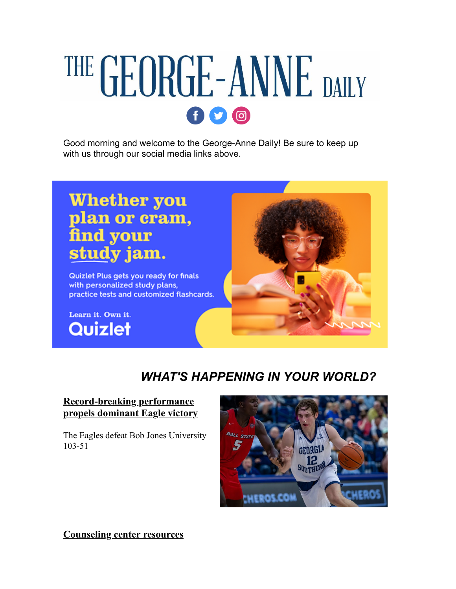# THE GEORGE-ANNE DAILY  $f$  $q$  $q$  $q$

Good morning and welcome to the George-Anne Daily! Be sure to keep up with us through our social media links above.

# **Whether you** plan or cram, find your study jam.

Quizlet Plus gets you ready for finals with personalized study plans, practice tests and customized flashcards.

Learn it. Own it. Quizlet



# *WHAT'S HAPPENING IN YOUR WORLD?*

#### **Record-breaking performance [propels dominant Eagle victory](https://r20.rs6.net/tn.jsp?f=001TL71vYmK9DGkbQETa2r7cD3E11TmCm4hDcpsRPqSsuIv9Cbc_VoHBOO-eyyIunFpYPJWp1-FhcS0dQp1wuoG4PUDdffoUxzmuFqTIvrkz3iYQ9h3puIQUDpplD5NhRPiGy8QWmQnW0xgw8w95wyDkfGNaxBcWMQ58u99KzefP7tAoaRrzN8I_7HUg9KD0FyWGK_FphNu12jSB7dqZ-VtwSclqLUGqrIgkqfrMyiU9u83uYhBtZMkG_1kRA9LPe5f&c=-CDpn7VteiWjDHft9Oliea7tNIfEwrXY1Lomkqq30dN0HNCJ-IhFTQ==&ch=8qR2YwjMJ9ByQ2q88EsNtP0POIcSC9wYNylH4HY7_Bj-YMBZ9I_Vdw==)**

The Eagles defeat Bob Jones University 103-51



**[Counseling center resources](https://r20.rs6.net/tn.jsp?f=001TL71vYmK9DGkbQETa2r7cD3E11TmCm4hDcpsRPqSsuIv9Cbc_VoHBOO-eyyIunFp-zRTD3n-YRxGO-wDvFXakE23xzuTfAywk8q1OTmTBfkXzGTHrGSmo03t8cvOEU9v06VErJ_G1aw1TpP_DBYB9vw50oP064IWG5BYdUZ6o3rIyyANQzaUy9wzq5B1gw_kCSjPnxO_ENMh64EObVEU7Q==&c=-CDpn7VteiWjDHft9Oliea7tNIfEwrXY1Lomkqq30dN0HNCJ-IhFTQ==&ch=8qR2YwjMJ9ByQ2q88EsNtP0POIcSC9wYNylH4HY7_Bj-YMBZ9I_Vdw==)**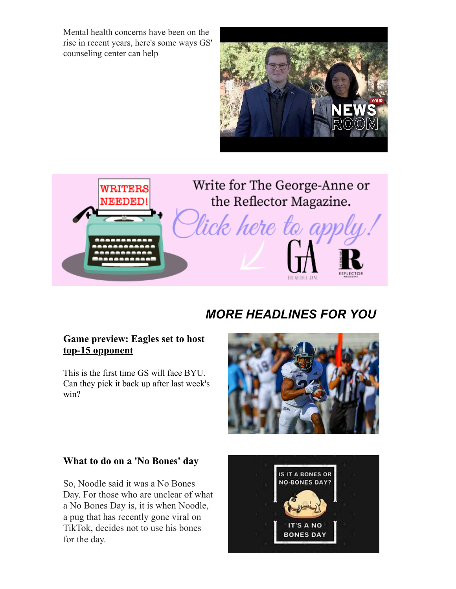Mental health concerns have been on the rise in recent years, here's some ways GS' counseling center can help





Write for The George-Anne or the Reflector Magazine.

lick here to

# *MORE HEADLINES FOR YOU*

#### **[Game preview: Eagles set to host](https://r20.rs6.net/tn.jsp?f=001TL71vYmK9DGkbQETa2r7cD3E11TmCm4hDcpsRPqSsuIv9Cbc_VoHBOO-eyyIunFp-yL3cZbuxyhmL-fVJLVJ1Egx3UYDmbahFbQHd4rVHNCHX2oRzzNBVKI5LF4wjVqq4-sIokY_B84yhOcj0W3oGJbr4OgE-hj-wPgPefX3J1UHAhKKLYlpD_VZw8FZHkOortQrI85wpjj4ALSZwEAbx0QBxGIF4prsZXngnl0xzpA=&c=-CDpn7VteiWjDHft9Oliea7tNIfEwrXY1Lomkqq30dN0HNCJ-IhFTQ==&ch=8qR2YwjMJ9ByQ2q88EsNtP0POIcSC9wYNylH4HY7_Bj-YMBZ9I_Vdw==) top-15 opponent**

This is the first time GS will face BYU. Can they pick it back up after last week's win?



#### **[What to do on a 'No Bones' day](https://r20.rs6.net/tn.jsp?f=001TL71vYmK9DGkbQETa2r7cD3E11TmCm4hDcpsRPqSsuIv9Cbc_VoHBOO-eyyIunFp2JtZlUo86OBuuj9xdYuEGI19gnDemObBbS2ZENq4CQkUa4wZViNWm93UKR4Dh3_qspnLWmocEjGQUGvNu3HxxEneT8eh5MSDVepUuCWCsuUV6b_XGP83qtUbKvIYODrswBU8FayS6WLWNMTMA8j7tQ==&c=-CDpn7VteiWjDHft9Oliea7tNIfEwrXY1Lomkqq30dN0HNCJ-IhFTQ==&ch=8qR2YwjMJ9ByQ2q88EsNtP0POIcSC9wYNylH4HY7_Bj-YMBZ9I_Vdw==)**

So, Noodle said it was a No Bones Day. For those who are unclear of what a No Bones Day is, it is when Noodle, a pug that has recently gone viral on TikTok, decides not to use his bones for the day.